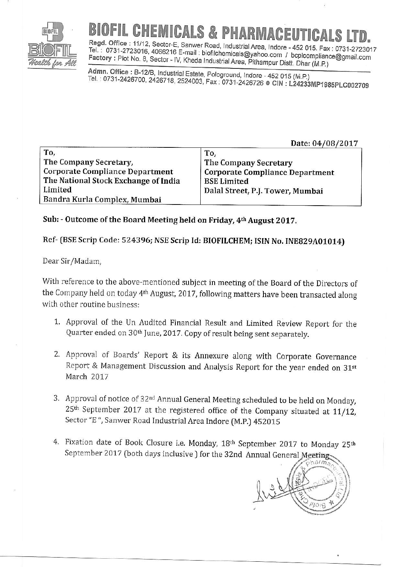

## PHARMACFUTICAL

Regd. Office: 11/12, Sector-E, Sanwer Road, Industrial Area, Indore - 452 015. Fax: 0731-2723017 Tel.: 0731-2723016, 4066216 E-mail: biofilchemicals@yahoo.com / bcplcompliance@gmail.com Factory: Plot No. 8, Sector - IV, Kheda Industrial Area, Pithampur Distt. Dhar (M.P.)

Admn. Office: B-12/B, Industrial Estate, Pologround, Indore - 452 015 (M.P.) Tel.: 0731-2426700, 2426718, 2524003, Fax: 0731-2426726 ● CIN: L24233MP1985PLC002709

Date: 04/08/2017

| To,<br>The Company Secretary,<br><b>Corporate Compliance Department</b><br>The National Stock Exchange of India | To,<br>The Company Secretary<br><b>Corporate Compliance Department</b><br><b>BSE Limited</b> |                              |                                  |
|-----------------------------------------------------------------------------------------------------------------|----------------------------------------------------------------------------------------------|------------------------------|----------------------------------|
|                                                                                                                 |                                                                                              | Limited                      | Dalal Street, P.J. Tower, Mumbai |
|                                                                                                                 |                                                                                              | Bandra Kurla Complex, Mumbai |                                  |

## Sub: - Outcome of the Board Meeting held on Friday, 4th August 2017.

## Ref- (BSE Scrip Code: 524396; NSE Scrip Id: BIOFILCHEM; ISIN No. INE829A01014)

## Dear Sir/Madam,

With reference to the above-mentioned subject in meeting of the Board of the Directors of the Company held on today 4<sup>th</sup> August, 2017, following matters have been transacted along with other routine business:

- 1. Approval of the Un Audited Financial Result and Limited Review Report for the Quarter ended on 30<sup>th</sup> June, 2017. Copy of result being sent separately.
- 2. Approval of Boards' Report & its Annexure along with Corporate Governance Report & Management Discussion and Analysis Report for the year ended on 31st March 2017
- 3. Approval of notice of 32<sup>nd</sup> Annual General Meeting scheduled to be held on Monday, 25<sup>th</sup> September 2017 at the registered office of the Company situated at 11/12, Sector "E", Sanwer Road Industrial Area Indore (M.P.) 452015
- 4. Fixation date of Book Closure i.e. Monday, 18th September 2017 to Monday 25th September 2017 (both days inclusive) for the 32nd Annual General Meeting